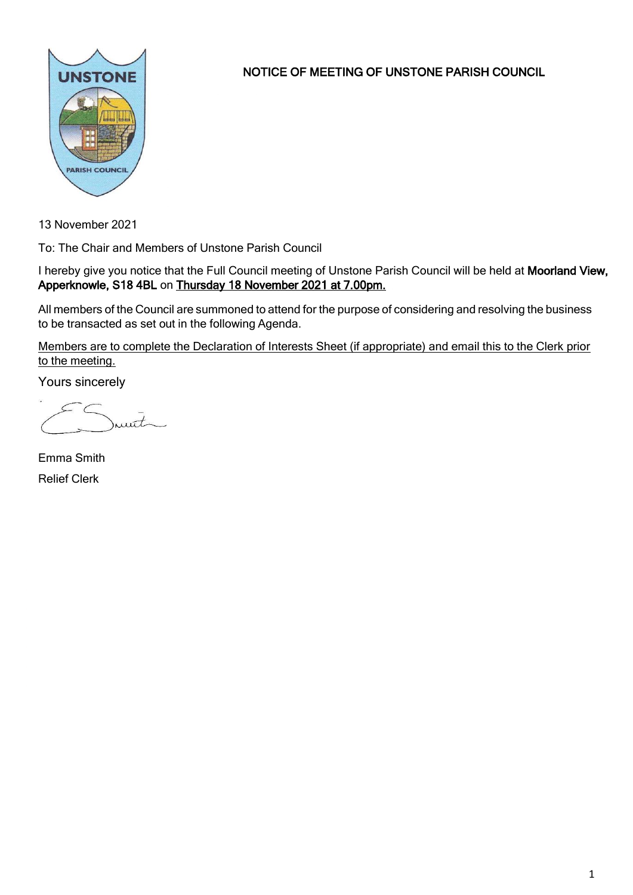

NOTICE OF MEETING OF UNSTONE PARISH COUNCIL

13 November 2021

To: The Chair and Members of Unstone Parish Council

I hereby give you notice that the Full Council meeting of Unstone Parish Council will be held at Moorland View, Apperknowle, S18 4BL on Thursday 18 November 2021 at 7.00pm.

All members of the Council are summoned to attend for the purpose of considering and resolving the business to be transacted as set out in the following Agenda.

Members are to complete the Declaration of Interests Sheet (if appropriate) and email this to the Clerk prior to the meeting.

Yours sincerely

munt

Emma Smith Relief Clerk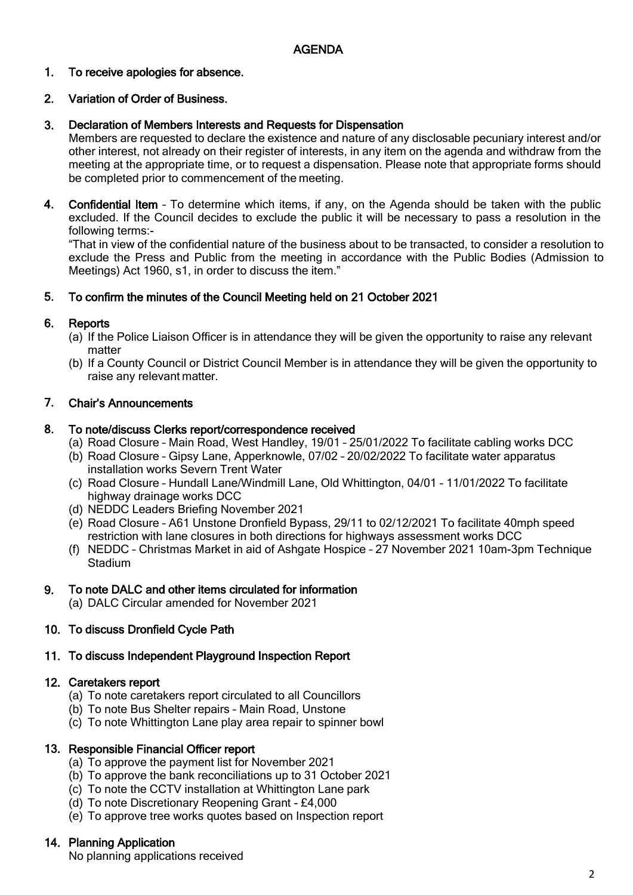### 1. To receive apologies for absence.

### 2. Variation of Order of Business.

### 3. Declaration of Members Interests and Requests for Dispensation

Members are requested to declare the existence and nature of any disclosable pecuniary interest and/or other interest, not already on their register of interests, in any item on the agenda and withdraw from the meeting at the appropriate time, or to request a dispensation. Please note that appropriate forms should be completed prior to commencement of the meeting.

4. Confidential Item – To determine which items, if any, on the Agenda should be taken with the public excluded. If the Council decides to exclude the public it will be necessary to pass a resolution in the following terms:-

"That in view of the confidential nature of the business about to be transacted, to consider a resolution to exclude the Press and Public from the meeting in accordance with the Public Bodies (Admission to Meetings) Act 1960, s1, in order to discuss the item."

### 5. To confirm the minutes of the Council Meeting held on 21 October 2021

### 6. **Reports**

- (a) If the Police Liaison Officer is in attendance they will be given the opportunity to raise any relevant matter
- (b) If a County Council or District Council Member is in attendance they will be given the opportunity to raise any relevant matter.

### 7. Chair's Announcements

### 8. To note/discuss Clerks report/correspondence received

- (a) Road Closure Main Road, West Handley, 19/01 25/01/2022 To facilitate cabling works DCC
- (b) Road Closure Gipsy Lane, Apperknowle, 07/02 20/02/2022 To facilitate water apparatus installation works Severn Trent Water
- (c) Road Closure Hundall Lane/Windmill Lane, Old Whittington, 04/01 11/01/2022 To facilitate highway drainage works DCC
- (d) NEDDC Leaders Briefing November 2021
- (e) Road Closure A61 Unstone Dronfield Bypass, 29/11 to 02/12/2021 To facilitate 40mph speed restriction with lane closures in both directions for highways assessment works DCC
- (f) NEDDC Christmas Market in aid of Ashgate Hospice 27 November 2021 10am-3pm Technique **Stadium**

### 9. To note DALC and other items circulated for information

(a) DALC Circular amended for November 2021

### 10. To discuss Dronfield Cycle Path

### 11. To discuss Independent Playground Inspection Report

### 12. Caretakers report

- (a) To note caretakers report circulated to all Councillors
- (b) To note Bus Shelter repairs Main Road, Unstone
- (c) To note Whittington Lane play area repair to spinner bowl

### 13. Responsible Financial Officer report

- (a) To approve the payment list for November 2021
- (b) To approve the bank reconciliations up to 31 October 2021
- (c) To note the CCTV installation at Whittington Lane park
- (d) To note Discretionary Reopening Grant £4,000
- (e) To approve tree works quotes based on Inspection report

# 14. Planning Application

No planning applications received